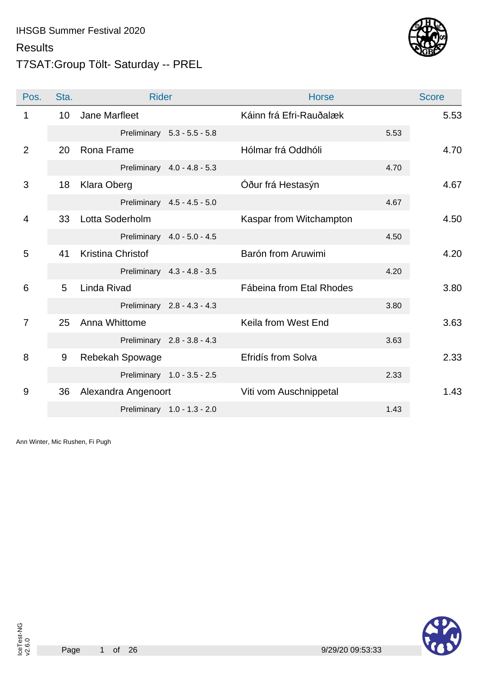### T7SAT:Group Tölt- Saturday -- PREL



| Pos.           | Sta. | <b>Rider</b>        |                             | <b>Horse</b>             |      | <b>Score</b> |
|----------------|------|---------------------|-----------------------------|--------------------------|------|--------------|
| 1              | 10   | Jane Marfleet       |                             | Káinn frá Efri-Rauðalæk  |      | 5.53         |
|                |      |                     | Preliminary 5.3 - 5.5 - 5.8 |                          | 5.53 |              |
| 2              | 20   | Rona Frame          |                             | Hólmar frá Oddhóli       |      | 4.70         |
|                |      |                     | Preliminary 4.0 - 4.8 - 5.3 |                          | 4.70 |              |
| 3              | 18   | <b>Klara Oberg</b>  |                             | Óður frá Hestasýn        |      | 4.67         |
|                |      |                     | Preliminary 4.5 - 4.5 - 5.0 |                          | 4.67 |              |
| $\overline{4}$ | 33   | Lotta Soderholm     |                             | Kaspar from Witchampton  |      | 4.50         |
|                |      |                     | Preliminary 4.0 - 5.0 - 4.5 |                          | 4.50 |              |
| 5              | 41   | Kristina Christof   |                             | Barón from Aruwimi       |      | 4.20         |
|                |      |                     | Preliminary 4.3 - 4.8 - 3.5 |                          | 4.20 |              |
| 6              | 5    | Linda Rivad         |                             | Fábeina from Etal Rhodes |      | 3.80         |
|                |      |                     | Preliminary 2.8 - 4.3 - 4.3 |                          | 3.80 |              |
| $\overline{7}$ | 25   | Anna Whittome       |                             | Keila from West End      |      | 3.63         |
|                |      |                     | Preliminary 2.8 - 3.8 - 4.3 |                          | 3.63 |              |
| 8              | 9    | Rebekah Spowage     |                             | Efridís from Solva       |      | 2.33         |
|                |      |                     | Preliminary 1.0 - 3.5 - 2.5 |                          | 2.33 |              |
| 9              | 36   | Alexandra Angenoort |                             | Viti vom Auschnippetal   |      | 1.43         |
|                |      |                     | Preliminary 1.0 - 1.3 - 2.0 |                          | 1.43 |              |



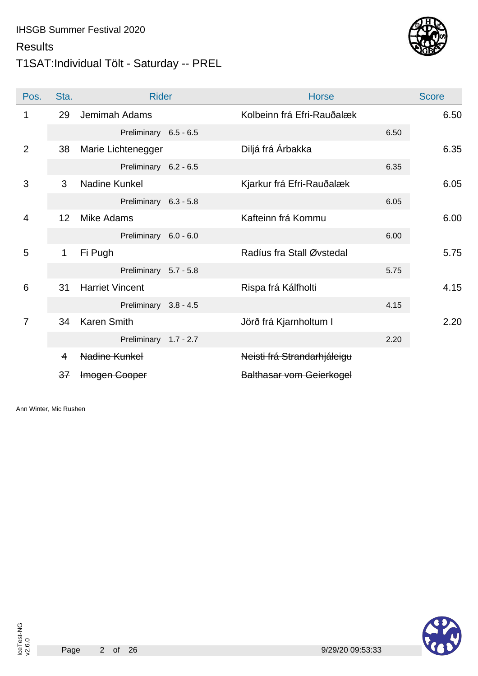## T1SAT:Individual Tölt - Saturday -- PREL



| Pos.           | Sta.        | <b>Rider</b>           | <b>Horse</b>                    |      | <b>Score</b> |
|----------------|-------------|------------------------|---------------------------------|------|--------------|
| 1              | 29          | Jemimah Adams          | Kolbeinn frá Efri-Rauðalæk      |      | 6.50         |
|                |             | Preliminary 6.5 - 6.5  |                                 | 6.50 |              |
| 2              | 38          | Marie Lichtenegger     | Diljá frá Árbakka               |      | 6.35         |
|                |             | Preliminary 6.2 - 6.5  |                                 | 6.35 |              |
| 3              | 3           | Nadine Kunkel          | Kjarkur frá Efri-Rauðalæk       |      | 6.05         |
|                |             | Preliminary 6.3 - 5.8  |                                 | 6.05 |              |
| $\overline{4}$ | 12          | <b>Mike Adams</b>      | Kafteinn frá Kommu              |      | 6.00         |
|                |             | Preliminary 6.0 - 6.0  |                                 | 6.00 |              |
| 5              | $\mathbf 1$ | Fi Pugh                | Radíus fra Stall Øvstedal       |      | 5.75         |
|                |             | Preliminary 5.7 - 5.8  |                                 | 5.75 |              |
| 6              | 31          | <b>Harriet Vincent</b> | Rispa frá Kálfholti             |      | 4.15         |
|                |             | Preliminary 3.8 - 4.5  |                                 | 4.15 |              |
| $\overline{7}$ | 34          | <b>Karen Smith</b>     | Jörð frá Kjarnholtum I          |      | 2.20         |
|                |             | Preliminary 1.7 - 2.7  |                                 | 2.20 |              |
|                | 4           | Nadine Kunkel          | Neisti frá Strandarhjáleigu     |      |              |
|                | 37          | Imogen Cooper          | <b>Balthasar vom Geierkogel</b> |      |              |

Ann Winter, Mic Rushen



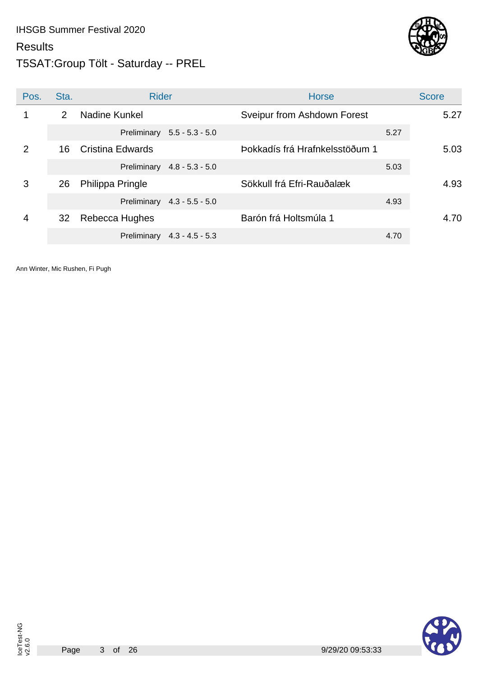### T5SAT:Group Tölt - Saturday -- PREL

![](_page_2_Picture_3.jpeg)

| Pos. | Sta.           | <b>Rider</b>                |                   | <b>Horse</b>                   |      | <b>Score</b> |
|------|----------------|-----------------------------|-------------------|--------------------------------|------|--------------|
|      | $\overline{2}$ | Nadine Kunkel               |                   | Sveipur from Ashdown Forest    |      | 5.27         |
|      |                | Preliminary                 | $5.5 - 5.3 - 5.0$ |                                | 5.27 |              |
| 2    | 16             | Cristina Edwards            |                   | Þokkadís frá Hrafnkelsstöðum 1 |      | 5.03         |
|      |                | Preliminary 4.8 - 5.3 - 5.0 |                   |                                | 5.03 |              |
| 3    | 26             | Philippa Pringle            |                   | Sökkull frá Efri-Rauðalæk      |      | 4.93         |
|      |                | Preliminary 4.3 - 5.5 - 5.0 |                   |                                | 4.93 |              |
| 4    | 32             | Rebecca Hughes              |                   | Barón frá Holtsmúla 1          |      | 4.70         |
|      |                | Preliminary                 | $4.3 - 4.5 - 5.3$ |                                | 4.70 |              |

![](_page_2_Picture_9.jpeg)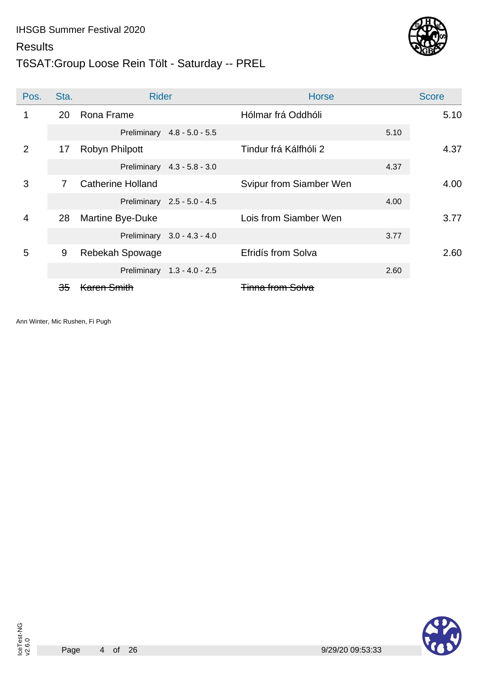### T6SAT:Group Loose Rein Tölt - Saturday -- PREL

![](_page_3_Picture_3.jpeg)

| Pos. | Sta. | <b>Rider</b>             |                             | <b>Horse</b>              |      | <b>Score</b> |
|------|------|--------------------------|-----------------------------|---------------------------|------|--------------|
| 1    | 20   | Rona Frame               |                             | Hólmar frá Oddhóli        |      | 5.10         |
|      |      |                          | Preliminary 4.8 - 5.0 - 5.5 |                           | 5.10 |              |
| 2    | 17   | Robyn Philpott           |                             | Tindur frá Kálfhóli 2     |      | 4.37         |
|      |      |                          | Preliminary 4.3 - 5.8 - 3.0 |                           | 4.37 |              |
| 3    | 7    | <b>Catherine Holland</b> |                             | Svipur from Siamber Wen   |      | 4.00         |
|      |      |                          | Preliminary 2.5 - 5.0 - 4.5 |                           | 4.00 |              |
| 4    | 28   | Martine Bye-Duke         |                             | Lois from Siamber Wen     |      | 3.77         |
|      |      |                          | Preliminary 3.0 - 4.3 - 4.0 |                           | 3.77 |              |
| 5    | 9    | Rebekah Spowage          |                             | <b>Efridís from Solva</b> |      | 2.60         |
|      |      |                          | Preliminary 1.3 - 4.0 - 2.5 |                           | 2.60 |              |
|      | 35   |                          |                             | <del>Tinna</del>          |      |              |

![](_page_3_Picture_6.jpeg)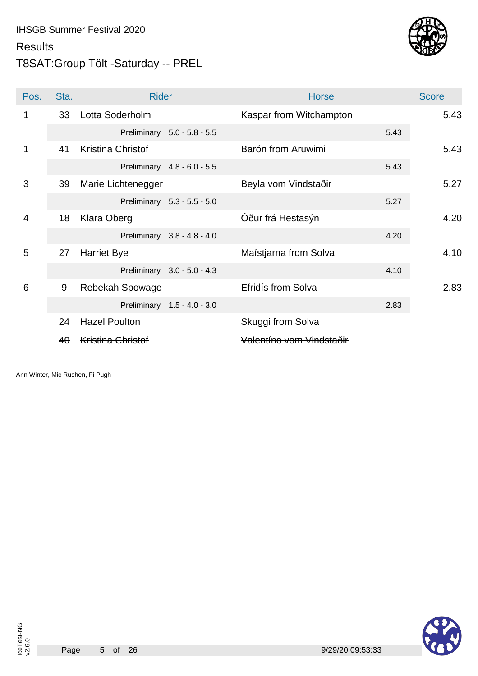### T8SAT:Group Tölt -Saturday -- PREL

![](_page_4_Picture_3.jpeg)

| Pos.           | Sta.      | <b>Rider</b>             |                             | <b>Horse</b>             |      | <b>Score</b> |
|----------------|-----------|--------------------------|-----------------------------|--------------------------|------|--------------|
| 1              | 33        | Lotta Soderholm          |                             | Kaspar from Witchampton  |      | 5.43         |
|                |           |                          | Preliminary 5.0 - 5.8 - 5.5 |                          | 5.43 |              |
| 1              | 41        | <b>Kristina Christof</b> |                             | Barón from Aruwimi       |      | 5.43         |
|                |           |                          | Preliminary 4.8 - 6.0 - 5.5 |                          | 5.43 |              |
| 3              | 39        | Marie Lichtenegger       |                             | Beyla vom Vindstaðir     |      | 5.27         |
|                |           |                          | Preliminary 5.3 - 5.5 - 5.0 |                          | 5.27 |              |
| $\overline{4}$ | 18        | <b>Klara Oberg</b>       |                             | Óður frá Hestasýn        |      | 4.20         |
|                |           |                          | Preliminary 3.8 - 4.8 - 4.0 |                          | 4.20 |              |
| 5              | 27        | <b>Harriet Bye</b>       |                             | Maístjarna from Solva    |      | 4.10         |
|                |           |                          | Preliminary 3.0 - 5.0 - 4.3 |                          | 4.10 |              |
| 6              | 9         | Rebekah Spowage          |                             | Efridís from Solva       |      | 2.83         |
|                |           |                          | Preliminary 1.5 - 4.0 - 3.0 |                          | 2.83 |              |
|                | 24        | <b>Hazel Poulton</b>     |                             | Skuggi from Solva        |      |              |
|                | $4\theta$ | <b>Kristina Christof</b> |                             | Valentíno vom Vindstaðir |      |              |

Ann Winter, Mic Rushen, Fi Pugh

![](_page_4_Picture_6.jpeg)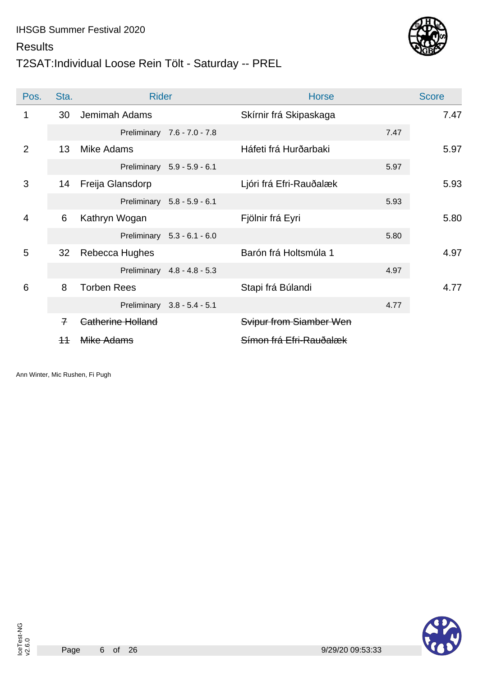## T2SAT:Individual Loose Rein Tölt - Saturday -- PREL

![](_page_5_Picture_3.jpeg)

| Pos.           | Sta.           | <b>Rider</b>       |                             | <b>Horse</b>            |      | <b>Score</b> |
|----------------|----------------|--------------------|-----------------------------|-------------------------|------|--------------|
| 1              | 30             | Jemimah Adams      |                             | Skírnir frá Skipaskaga  |      | 7.47         |
|                |                |                    | Preliminary 7.6 - 7.0 - 7.8 |                         | 7.47 |              |
| $\overline{2}$ | 13             | Mike Adams         |                             | Háfeti frá Hurðarbaki   |      | 5.97         |
|                |                |                    | Preliminary 5.9 - 5.9 - 6.1 |                         | 5.97 |              |
| 3              | 14             | Freija Glansdorp   |                             | Ljóri frá Efri-Rauðalæk |      | 5.93         |
|                |                |                    | Preliminary 5.8 - 5.9 - 6.1 |                         | 5.93 |              |
| 4              | 6              | Kathryn Wogan      |                             | Fjölnir frá Eyri        |      | 5.80         |
|                |                |                    | Preliminary 5.3 - 6.1 - 6.0 |                         | 5.80 |              |
| 5              | 32             | Rebecca Hughes     |                             | Barón frá Holtsmúla 1   |      | 4.97         |
|                |                |                    | Preliminary 4.8 - 4.8 - 5.3 |                         | 4.97 |              |
| 6              | 8              | <b>Torben Rees</b> |                             | Stapi frá Búlandi       |      | 4.77         |
|                |                |                    | Preliminary 3.8 - 5.4 - 5.1 |                         | 4.77 |              |
|                | $\overline{f}$ | Catherine Holland  |                             | Svipur from Siamber Wen |      |              |
|                | $+$            | Mike Adams         |                             | Símon frá Efri-Rauðalæk |      |              |

Ann Winter, Mic Rushen, Fi Pugh

![](_page_5_Picture_6.jpeg)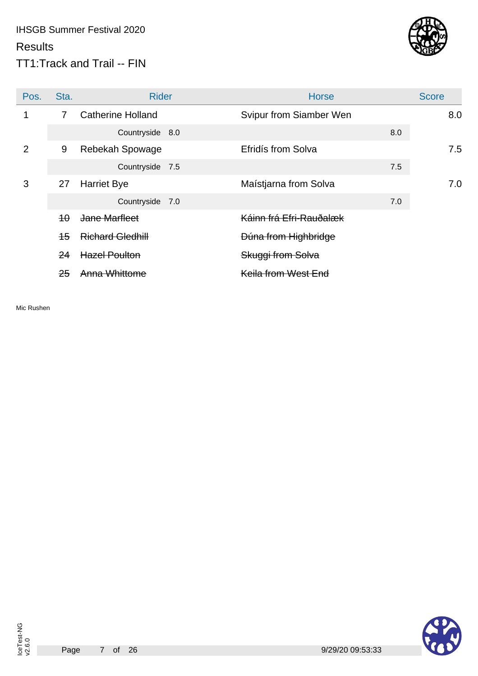## IHSGB Summer Festival 2020 **Results** TT1:Track and Trail -- FIN

![](_page_6_Picture_1.jpeg)

| Pos. | Sta.           | <b>Rider</b>             | <b>Horse</b>            |     | <b>Score</b> |
|------|----------------|--------------------------|-------------------------|-----|--------------|
|      | $\overline{7}$ | <b>Catherine Holland</b> | Svipur from Siamber Wen |     | 8.0          |
|      |                | Countryside 8.0          |                         | 8.0 |              |
| 2    | 9              | Rebekah Spowage          | Efridís from Solva      |     | 7.5          |
|      |                | Countryside 7.5          |                         | 7.5 |              |
| 3    | 27             | <b>Harriet Bye</b>       | Maístjarna from Solva   |     | 7.0          |
|      |                | Countryside 7.0          |                         | 7.0 |              |
|      | $4\theta$      | Jane Marfleet            | Káinn frá Efri-Rauðalæk |     |              |
|      | $+5$           | <b>Richard Gledhill</b>  | Dúna from Highbridge    |     |              |
|      | 24             | <b>Hazel Poulton</b>     | Skuggi from Solva       |     |              |
|      | 25             | Anna Whittome            | Keila from West End     |     |              |

Mic Rushen

![](_page_6_Picture_4.jpeg)

Page

![](_page_6_Picture_6.jpeg)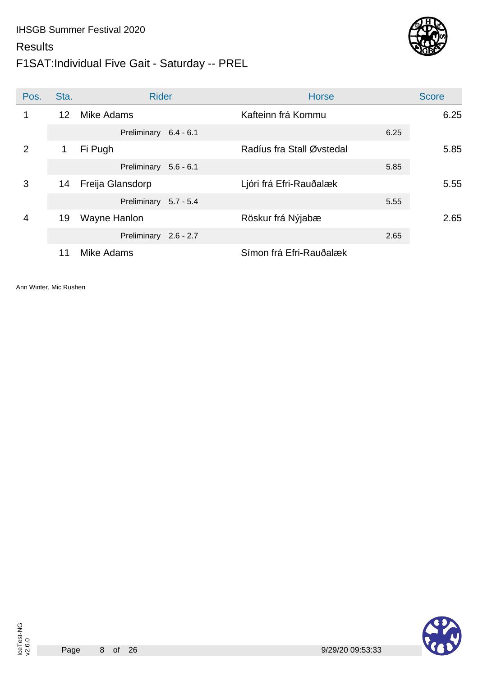#### **Results**

## F1SAT:Individual Five Gait - Saturday -- PREL

![](_page_7_Picture_3.jpeg)

| Pos. | Sta. | <b>Rider</b>          | <b>Horse</b>                       | <b>Score</b> |
|------|------|-----------------------|------------------------------------|--------------|
| 1    | 12   | Mike Adams            | Kafteinn frá Kommu                 | 6.25         |
|      |      | Preliminary 6.4 - 6.1 | 6.25                               |              |
| 2    | 1    | Fi Pugh               | Radíus fra Stall Øvstedal          | 5.85         |
|      |      | Preliminary 5.6 - 6.1 | 5.85                               |              |
| 3    | 14   | Freija Glansdorp      | Ljóri frá Efri-Rauðalæk            | 5.55         |
|      |      | Preliminary 5.7 - 5.4 | 5.55                               |              |
| 4    | 19   | Wayne Hanlon          | Röskur frá Nýjabæ                  | 2.65         |
|      |      | Preliminary 2.6 - 2.7 | 2.65                               |              |
|      |      | Mike Adams            | <del>Símon frá Efri-Rauðalæk</del> |              |

Ann Winter, Mic Rushen

![](_page_7_Picture_9.jpeg)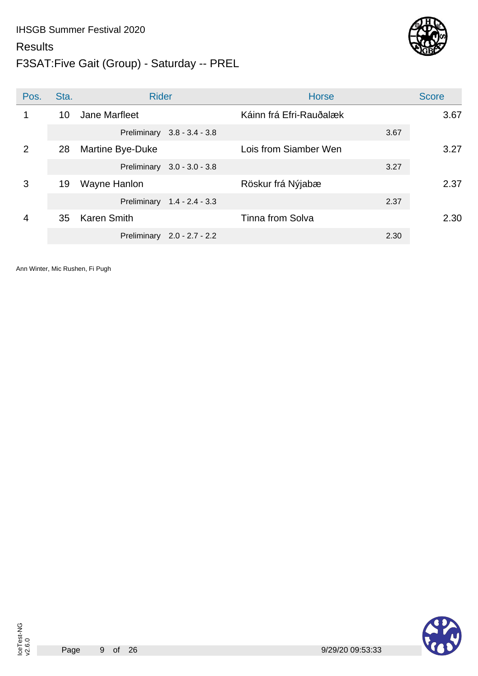# IHSGB Summer Festival 2020 **Results**

![](_page_8_Picture_1.jpeg)

![](_page_8_Picture_2.jpeg)

| Pos.           | Sta. | <b>Rider</b>                | <b>Horse</b>            | <b>Score</b> |
|----------------|------|-----------------------------|-------------------------|--------------|
| 1              | 10   | Jane Marfleet               | Káinn frá Efri-Rauðalæk | 3.67         |
|                |      | Preliminary 3.8 - 3.4 - 3.8 | 3.67                    |              |
| $\overline{2}$ | 28   | Martine Bye-Duke            | Lois from Siamber Wen   | 3.27         |
|                |      | Preliminary 3.0 - 3.0 - 3.8 | 3.27                    |              |
| 3              | 19   | Wayne Hanlon                | Röskur frá Nýjabæ       | 2.37         |
|                |      | Preliminary 1.4 - 2.4 - 3.3 | 2.37                    |              |
| 4              | 35   | <b>Karen Smith</b>          | Tinna from Solva        | 2.30         |
|                |      | Preliminary 2.0 - 2.7 - 2.2 | 2.30                    |              |

![](_page_8_Picture_8.jpeg)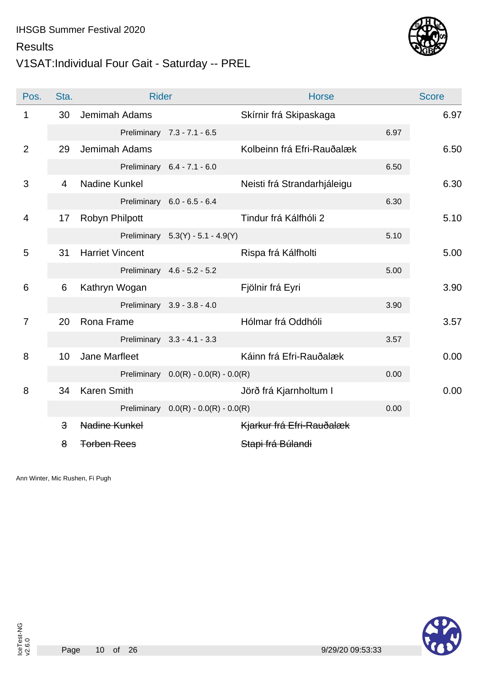## V1SAT:Individual Four Gait - Saturday -- PREL

![](_page_9_Picture_3.jpeg)

| Pos.           | Sta.                    | <b>Rider</b>           |                                        | <b>Horse</b>                |      | <b>Score</b> |
|----------------|-------------------------|------------------------|----------------------------------------|-----------------------------|------|--------------|
| 1              | 30                      | Jemimah Adams          |                                        | Skírnir frá Skipaskaga      |      | 6.97         |
|                |                         |                        | Preliminary 7.3 - 7.1 - 6.5            |                             | 6.97 |              |
| $\overline{2}$ | 29                      | Jemimah Adams          |                                        | Kolbeinn frá Efri-Rauðalæk  |      | 6.50         |
|                |                         |                        | Preliminary 6.4 - 7.1 - 6.0            |                             | 6.50 |              |
| 3              | $\overline{4}$          | Nadine Kunkel          |                                        | Neisti frá Strandarhjáleigu |      | 6.30         |
|                |                         |                        | Preliminary 6.0 - 6.5 - 6.4            |                             | 6.30 |              |
| 4              | 17                      | Robyn Philpott         |                                        | Tindur frá Kálfhóli 2       |      | 5.10         |
|                |                         |                        | Preliminary 5.3(Y) - 5.1 - 4.9(Y)      |                             | 5.10 |              |
| 5              | 31                      | <b>Harriet Vincent</b> |                                        | Rispa frá Kálfholti         |      | 5.00         |
|                |                         |                        | Preliminary 4.6 - 5.2 - 5.2            |                             | 5.00 |              |
| 6              | 6                       | Kathryn Wogan          |                                        | Fjölnir frá Eyri            |      | 3.90         |
|                |                         |                        | Preliminary 3.9 - 3.8 - 4.0            |                             | 3.90 |              |
| $\overline{7}$ | 20                      | Rona Frame             |                                        | Hólmar frá Oddhóli          |      | 3.57         |
|                |                         |                        | Preliminary 3.3 - 4.1 - 3.3            |                             | 3.57 |              |
| 8              | 10                      | Jane Marfleet          |                                        | Káinn frá Efri-Rauðalæk     |      | 0.00         |
|                |                         |                        | Preliminary $0.0(R) - 0.0(R) - 0.0(R)$ |                             | 0.00 |              |
| 8              | 34                      | <b>Karen Smith</b>     |                                        | Jörð frá Kjarnholtum I      |      | 0.00         |
|                |                         |                        | Preliminary $0.0(R) - 0.0(R) - 0.0(R)$ |                             | 0.00 |              |
|                | $\overline{\mathbf{3}}$ | Nadine Kunkel          |                                        | Kjarkur frá Efri-Rauðalæk   |      |              |
|                | 8                       | <b>Torben Rees</b>     |                                        | Stapi frá Búlandi           |      |              |

Ann Winter, Mic Rushen, Fi Pugh

![](_page_9_Picture_6.jpeg)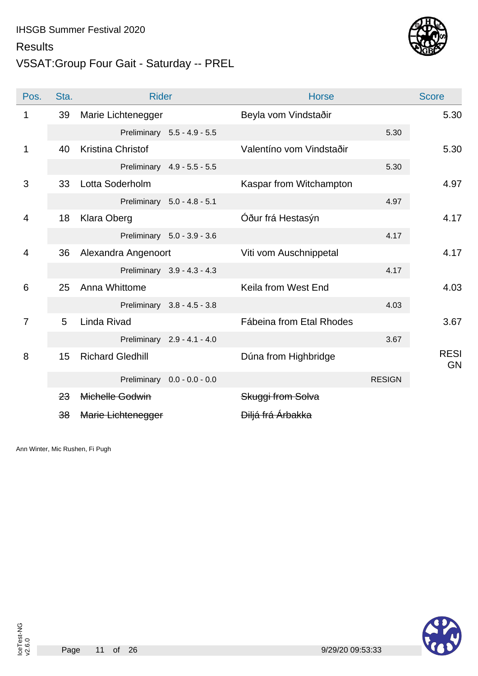#### **Results**

### V5SAT:Group Four Gait - Saturday -- PREL

![](_page_10_Picture_3.jpeg)

| Pos.           | Sta. | <b>Rider</b>            |                             | <b>Horse</b>                 |               | <b>Score</b>             |
|----------------|------|-------------------------|-----------------------------|------------------------------|---------------|--------------------------|
| 1              | 39   | Marie Lichtenegger      |                             | Beyla vom Vindstaðir         |               | 5.30                     |
|                |      |                         | Preliminary 5.5 - 4.9 - 5.5 |                              | 5.30          |                          |
| 1              | 40   | Kristina Christof       |                             | Valentíno vom Vindstaðir     |               | 5.30                     |
|                |      |                         | Preliminary 4.9 - 5.5 - 5.5 |                              | 5.30          |                          |
| 3              | 33   | Lotta Soderholm         |                             | Kaspar from Witchampton      |               | 4.97                     |
|                |      |                         | Preliminary 5.0 - 4.8 - 5.1 |                              | 4.97          |                          |
| $\overline{4}$ | 18   | <b>Klara Oberg</b>      |                             | Óður frá Hestasýn            |               | 4.17                     |
|                |      |                         | Preliminary 5.0 - 3.9 - 3.6 |                              | 4.17          |                          |
| 4              | 36   | Alexandra Angenoort     |                             | Viti vom Auschnippetal       |               | 4.17                     |
|                |      |                         | Preliminary 3.9 - 4.3 - 4.3 |                              | 4.17          |                          |
| 6              | 25   | Anna Whittome           |                             | Keila from West End          |               | 4.03                     |
|                |      |                         | Preliminary 3.8 - 4.5 - 3.8 |                              | 4.03          |                          |
| $\overline{7}$ | 5    | Linda Rivad             |                             | Fábeina from Etal Rhodes     |               | 3.67                     |
|                |      |                         | Preliminary 2.9 - 4.1 - 4.0 |                              | 3.67          |                          |
| 8              | 15   | <b>Richard Gledhill</b> |                             | Dúna from Highbridge         |               | <b>RESI</b><br><b>GN</b> |
|                |      |                         | Preliminary 0.0 - 0.0 - 0.0 |                              | <b>RESIGN</b> |                          |
|                | 23   | Michelle Godwin         |                             | Skuggi from Solva            |               |                          |
|                | 38   | Marie Lichtenegger      |                             | <del>Diljá frá Árbakka</del> |               |                          |

Ann Winter, Mic Rushen, Fi Pugh

Page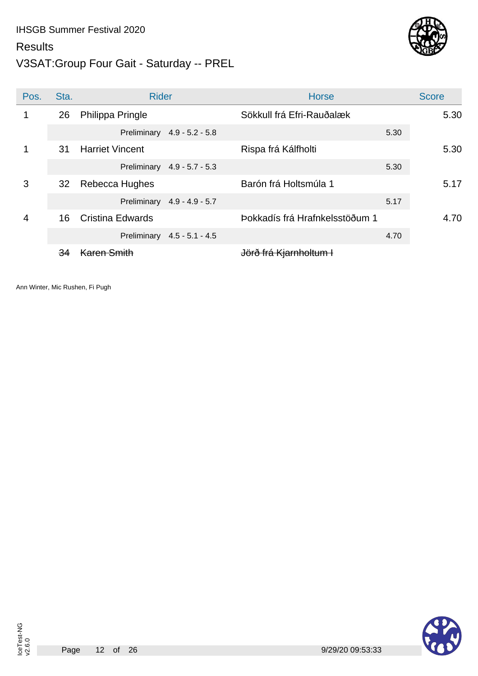#### **Results**

### V3SAT:Group Four Gait - Saturday -- PREL

![](_page_11_Picture_3.jpeg)

| Pos. | Sta. | <b>Rider</b>                | <b>Horse</b>                      | <b>Score</b> |
|------|------|-----------------------------|-----------------------------------|--------------|
| 1    | 26   | Philippa Pringle            | Sökkull frá Efri-Rauðalæk         | 5.30         |
|      |      | Preliminary 4.9 - 5.2 - 5.8 | 5.30                              |              |
| 1    | 31   | <b>Harriet Vincent</b>      | Rispa frá Kálfholti               | 5.30         |
|      |      | Preliminary 4.9 - 5.7 - 5.3 | 5.30                              |              |
| 3    | 32   | Rebecca Hughes              | Barón frá Holtsmúla 1             | 5.17         |
|      |      | Preliminary 4.9 - 4.9 - 5.7 | 5.17                              |              |
| 4    | 16   | <b>Cristina Edwards</b>     | Þokkadís frá Hrafnkelsstöðum 1    | 4.70         |
|      |      | Preliminary 4.5 - 5.1 - 4.5 | 4.70                              |              |
|      | 34   |                             | <del>Jörð frá Kjarnholtum I</del> |              |

![](_page_11_Picture_9.jpeg)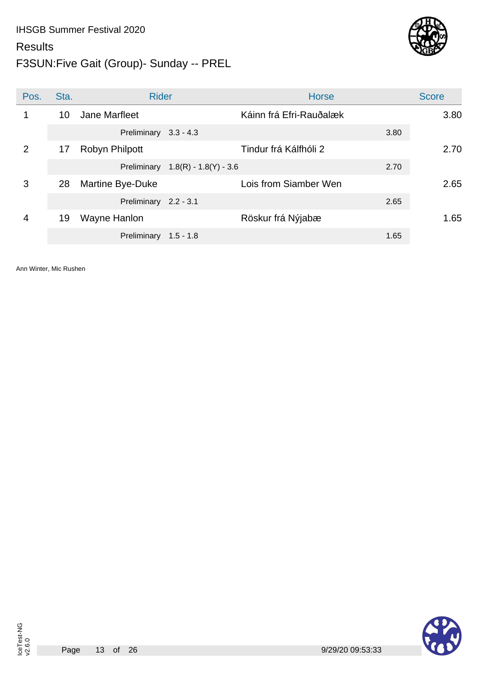## F3SUN:Five Gait (Group)- Sunday -- PREL

![](_page_12_Picture_3.jpeg)

| Pos.           | Sta. | <b>Rider</b>          |                                     | <b>Horse</b>            |      | <b>Score</b> |
|----------------|------|-----------------------|-------------------------------------|-------------------------|------|--------------|
| 1              | 10   | Jane Marfleet         |                                     | Káinn frá Efri-Rauðalæk |      | 3.80         |
|                |      | Preliminary 3.3 - 4.3 |                                     |                         | 3.80 |              |
| $\overline{2}$ | 17   | Robyn Philpott        |                                     | Tindur frá Kálfhóli 2   |      | 2.70         |
|                |      |                       | Preliminary $1.8(R) - 1.8(Y) - 3.6$ |                         | 2.70 |              |
| 3              | 28   | Martine Bye-Duke      |                                     | Lois from Siamber Wen   |      | 2.65         |
|                |      | Preliminary 2.2 - 3.1 |                                     |                         | 2.65 |              |
| 4              | 19   | Wayne Hanlon          |                                     | Röskur frá Nýjabæ       |      | 1.65         |
|                |      | Preliminary           | $1.5 - 1.8$                         |                         | 1.65 |              |

Ann Winter, Mic Rushen

![](_page_12_Picture_9.jpeg)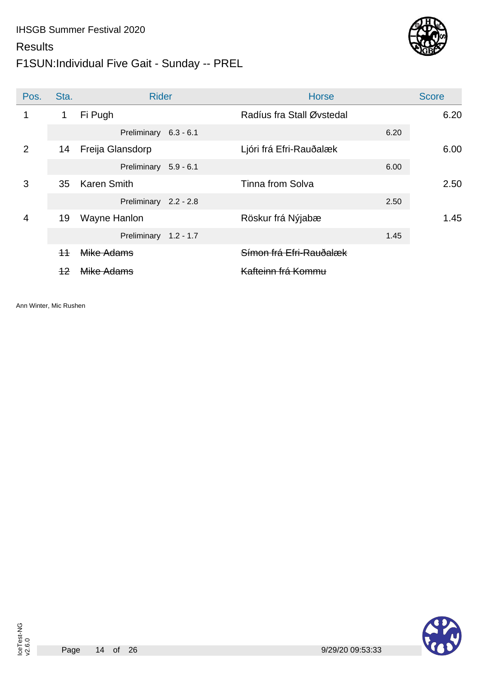## F1SUN:Individual Five Gait - Sunday -- PREL

![](_page_13_Picture_3.jpeg)

| Pos.           | Sta. | <b>Rider</b>          | <b>Horse</b>                  |      | <b>Score</b> |
|----------------|------|-----------------------|-------------------------------|------|--------------|
| $\mathbf 1$    | 1    | Fi Pugh               | Radíus fra Stall Øvstedal     |      | 6.20         |
|                |      | Preliminary 6.3 - 6.1 |                               | 6.20 |              |
| 2              | 14   | Freija Glansdorp      | Ljóri frá Efri-Rauðalæk       |      | 6.00         |
|                |      | Preliminary 5.9 - 6.1 |                               | 6.00 |              |
| 3              | 35   | <b>Karen Smith</b>    | <b>Tinna from Solva</b>       |      | 2.50         |
|                |      | Preliminary 2.2 - 2.8 |                               | 2.50 |              |
| $\overline{4}$ | 19   | Wayne Hanlon          | Röskur frá Nýjabæ             |      | 1.45         |
|                |      | Preliminary 1.2 - 1.7 |                               | 1.45 |              |
|                | $+4$ | Mike Adams            | Símon frá Efri-Rauðalæk       |      |              |
|                | 12   | <del>Mike Adams</del> | <del>Kafteinn frá Kommu</del> |      |              |

Ann Winter, Mic Rushen

Page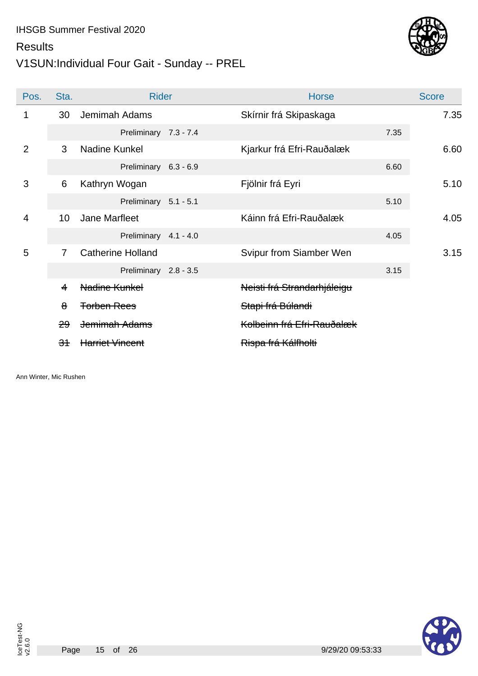## V1SUN:Individual Four Gait - Sunday -- PREL

![](_page_14_Picture_3.jpeg)

| Pos.           | Sta.            | <b>Rider</b>             | <b>Horse</b>                |      | <b>Score</b> |
|----------------|-----------------|--------------------------|-----------------------------|------|--------------|
| 1              | 30              | Jemimah Adams            | Skírnir frá Skipaskaga      |      | 7.35         |
|                |                 | Preliminary 7.3 - 7.4    |                             | 7.35 |              |
| 2              | 3               | Nadine Kunkel            | Kjarkur frá Efri-Rauðalæk   |      | 6.60         |
|                |                 | Preliminary 6.3 - 6.9    |                             | 6.60 |              |
| 3              | 6               | Kathryn Wogan            | Fjölnir frá Eyri            |      | 5.10         |
|                |                 | Preliminary 5.1 - 5.1    |                             | 5.10 |              |
| $\overline{4}$ | 10 <sup>1</sup> | Jane Marfleet            | Káinn frá Efri-Rauðalæk     |      | 4.05         |
|                |                 | Preliminary 4.1 - 4.0    |                             | 4.05 |              |
| 5              | $\overline{7}$  | <b>Catherine Holland</b> | Svipur from Siamber Wen     |      | 3.15         |
|                |                 | Preliminary 2.8 - 3.5    |                             | 3.15 |              |
|                | 4               | Nadine Kunkel            | Neisti frá Strandarhjáleigu |      |              |
|                | $\bf{8}$        | <b>Torben Rees</b>       | Stapi frá Búlandi           |      |              |
|                | 29              | Jemimah Adams            | Kolbeinn frá Efri-Rauðalæk  |      |              |
|                | 34              | <b>Harriet Vincent</b>   | Rispa frá Kálfholti         |      |              |

Ann Winter, Mic Rushen

![](_page_14_Picture_6.jpeg)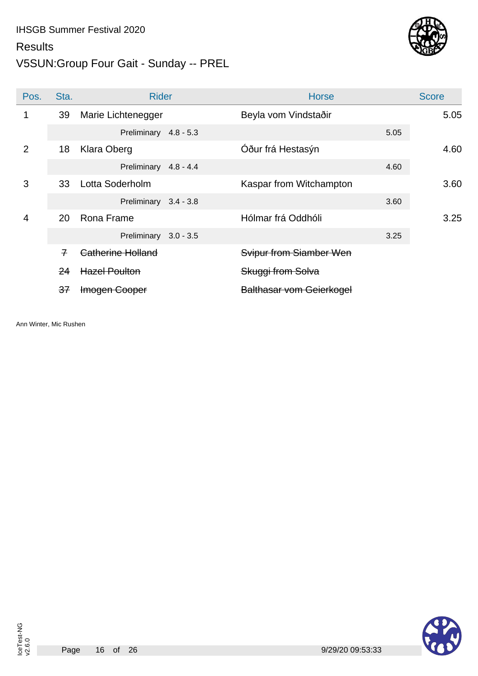### **Results**

### V5SUN:Group Four Gait - Sunday -- PREL

![](_page_15_Picture_3.jpeg)

| Pos.           | Sta.          | <b>Rider</b>          | <b>Horse</b>                    |      | <b>Score</b> |
|----------------|---------------|-----------------------|---------------------------------|------|--------------|
|                | 39            | Marie Lichtenegger    | Beyla vom Vindstaðir            |      | 5.05         |
|                |               | Preliminary 4.8 - 5.3 |                                 | 5.05 |              |
| $\overline{2}$ | 18            | Klara Oberg           | Óður frá Hestasýn               |      | 4.60         |
|                |               | Preliminary 4.8 - 4.4 |                                 | 4.60 |              |
| 3              | 33            | Lotta Soderholm       | Kaspar from Witchampton         |      | 3.60         |
|                |               | Preliminary 3.4 - 3.8 |                                 | 3.60 |              |
| $\overline{4}$ | 20            | Rona Frame            | Hólmar frá Oddhóli              |      | 3.25         |
|                |               | Preliminary 3.0 - 3.5 |                                 | 3.25 |              |
|                | $\mathcal{F}$ | Catherine Holland     | Svipur from Siamber Wen         |      |              |
|                | 24            | <b>Hazel Poulton</b>  | Skuggi from Solva               |      |              |
|                | 37            | Imogen Cooper         | <b>Balthasar vom Geierkogel</b> |      |              |

Ann Winter, Mic Rushen

![](_page_15_Picture_6.jpeg)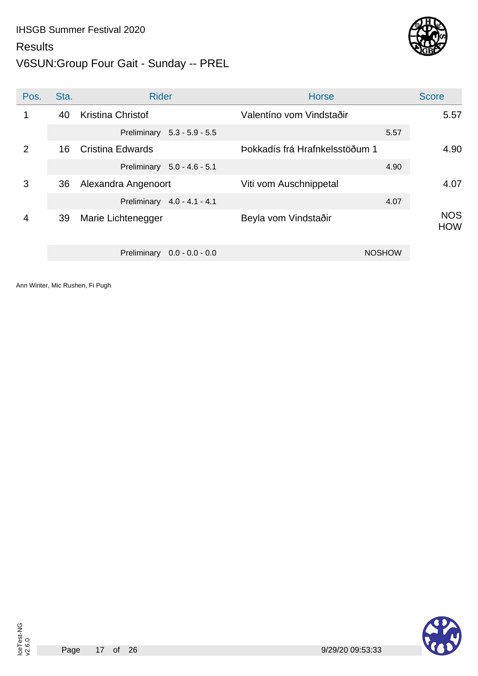### V6SUN:Group Four Gait - Sunday -- PREL

![](_page_16_Picture_2.jpeg)

| Pos.           | Sta. | <b>Rider</b>                     | <b>Horse</b>                   | <b>Score</b>             |
|----------------|------|----------------------------------|--------------------------------|--------------------------|
| 1              | 40   | <b>Kristina Christof</b>         | Valentíno vom Vindstaðir       | 5.57                     |
|                |      | Preliminary 5.3 - 5.9 - 5.5      | 5.57                           |                          |
| $\overline{2}$ | 16   | Cristina Edwards                 | Þokkadís frá Hrafnkelsstöðum 1 | 4.90                     |
|                |      | Preliminary 5.0 - 4.6 - 5.1      | 4.90                           |                          |
| 3              | 36   | Alexandra Angenoort              | Viti vom Auschnippetal         | 4.07                     |
|                |      | Preliminary 4.0 - 4.1 - 4.1      | 4.07                           |                          |
| 4              | 39   | Marie Lichtenegger               | Beyla vom Vindstaðir           | <b>NOS</b><br><b>HOW</b> |
|                |      | Preliminary<br>$0.0 - 0.0 - 0.0$ | <b>NOSHOW</b>                  |                          |

![](_page_16_Picture_8.jpeg)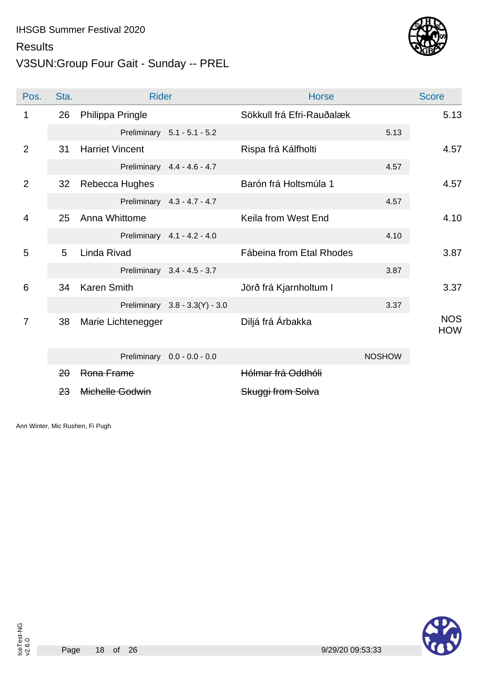#### **Results**

### V3SUN:Group Four Gait - Sunday -- PREL

![](_page_17_Picture_3.jpeg)

| Pos.           | Sta. | <b>Rider</b>           |                                | <b>Horse</b>              |               | <b>Score</b>             |
|----------------|------|------------------------|--------------------------------|---------------------------|---------------|--------------------------|
| 1              | 26   | Philippa Pringle       |                                | Sökkull frá Efri-Rauðalæk |               | 5.13                     |
|                |      |                        | Preliminary 5.1 - 5.1 - 5.2    |                           | 5.13          |                          |
| 2              | 31   | <b>Harriet Vincent</b> |                                | Rispa frá Kálfholti       |               | 4.57                     |
|                |      |                        | Preliminary 4.4 - 4.6 - 4.7    |                           | 4.57          |                          |
| 2              | 32   | Rebecca Hughes         |                                | Barón frá Holtsmúla 1     |               | 4.57                     |
|                |      |                        | Preliminary 4.3 - 4.7 - 4.7    |                           | 4.57          |                          |
| $\overline{4}$ | 25   | Anna Whittome          |                                | Keila from West End       |               | 4.10                     |
|                |      |                        | Preliminary 4.1 - 4.2 - 4.0    |                           | 4.10          |                          |
| 5              | 5    | Linda Rivad            |                                | Fábeina from Etal Rhodes  |               | 3.87                     |
|                |      |                        | Preliminary 3.4 - 4.5 - 3.7    |                           | 3.87          |                          |
| 6              | 34   | <b>Karen Smith</b>     |                                | Jörð frá Kjarnholtum I    |               | 3.37                     |
|                |      |                        | Preliminary 3.8 - 3.3(Y) - 3.0 |                           | 3.37          |                          |
| $\overline{7}$ | 38   | Marie Lichtenegger     |                                | Diljá frá Árbakka         |               | <b>NOS</b><br><b>HOW</b> |
|                |      |                        | Preliminary 0.0 - 0.0 - 0.0    |                           | <b>NOSHOW</b> |                          |
|                | 20   | Rona Frame             |                                | Hólmar frá Oddhóli        |               |                          |
|                | 23   | Michelle Godwin        |                                | Skuggi from Solva         |               |                          |

Ann Winter, Mic Rushen, Fi Pugh

![](_page_17_Picture_6.jpeg)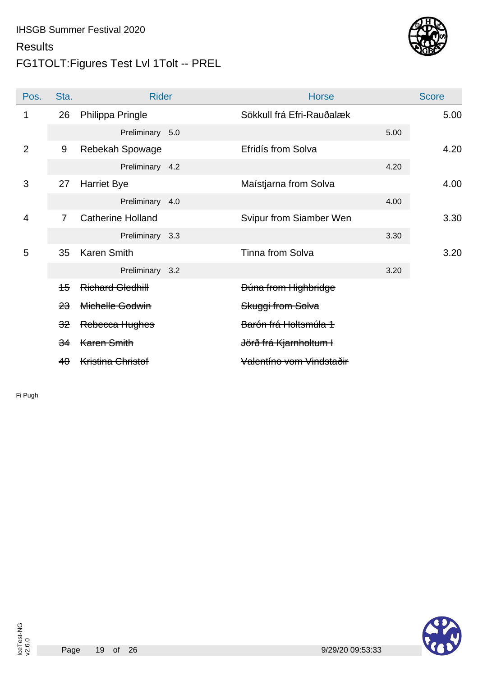## FG1TOLT:Figures Test Lvl 1Tolt -- PREL

![](_page_18_Picture_3.jpeg)

| Pos.           | Sta.           | <b>Rider</b>             | <b>Horse</b>                      |      | <b>Score</b> |
|----------------|----------------|--------------------------|-----------------------------------|------|--------------|
| 1              | 26             | Philippa Pringle         | Sökkull frá Efri-Rauðalæk         |      | 5.00         |
|                |                | Preliminary 5.0          |                                   | 5.00 |              |
| $\overline{2}$ | 9              | Rebekah Spowage          | Efridís from Solva                |      | 4.20         |
|                |                | Preliminary 4.2          |                                   | 4.20 |              |
| 3              | 27             | <b>Harriet Bye</b>       | Maístjarna from Solva             |      | 4.00         |
|                |                | Preliminary 4.0          |                                   | 4.00 |              |
| $\overline{4}$ | $\overline{7}$ | <b>Catherine Holland</b> | Svipur from Siamber Wen           |      | 3.30         |
|                |                | Preliminary 3.3          |                                   | 3.30 |              |
| 5              | 35             | <b>Karen Smith</b>       | <b>Tinna from Solva</b>           |      | 3.20         |
|                |                | Preliminary 3.2          |                                   | 3.20 |              |
|                | 45             | <b>Richard Gledhill</b>  | Dúna from Highbridge              |      |              |
|                | 23             | Michelle Godwin          | Skuggi from Solva                 |      |              |
|                | 32             | Rebecca Hughes           | Barón frá Holtsmúla 1             |      |              |
|                | 34             | Karen Smith              | <del>Jörð frá Kjarnholtum I</del> |      |              |
|                | 40             | <b>Kristina Christof</b> | Valentíno vom Vindstaðir          |      |              |

Fi Pugh

![](_page_18_Picture_6.jpeg)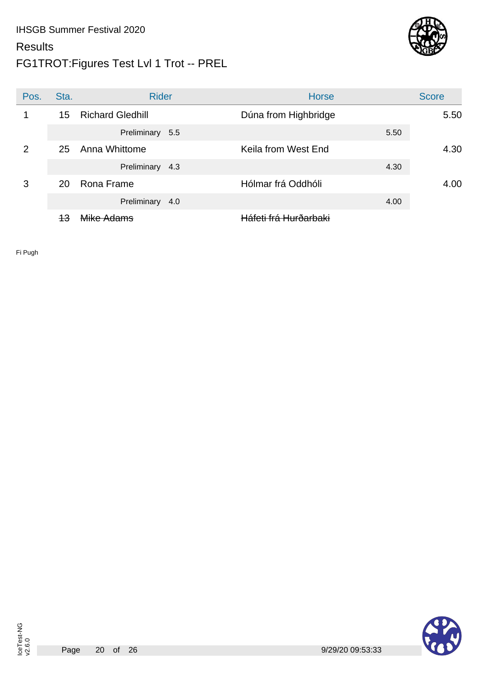### FG1TROT:Figures Test Lvl 1 Trot -- PREL

![](_page_19_Picture_3.jpeg)

| Pos.           | Sta. | <b>Rider</b>            | <b>Horse</b>                     |      | <b>Score</b> |
|----------------|------|-------------------------|----------------------------------|------|--------------|
|                | 15   | <b>Richard Gledhill</b> | Dúna from Highbridge             |      | 5.50         |
|                |      | Preliminary 5.5         |                                  | 5.50 |              |
| $\overline{2}$ | 25   | Anna Whittome           | Keila from West End              |      | 4.30         |
|                |      | Preliminary 4.3         |                                  | 4.30 |              |
| 3              | 20   | Rona Frame              | Hólmar frá Oddhóli               |      | 4.00         |
|                |      | Preliminary 4.0         |                                  | 4.00 |              |
|                | 43   | <del>Mike Adams</del>   | <del>Háfeti frá Hurðarbaki</del> |      |              |

Fi Pugh

![](_page_19_Picture_9.jpeg)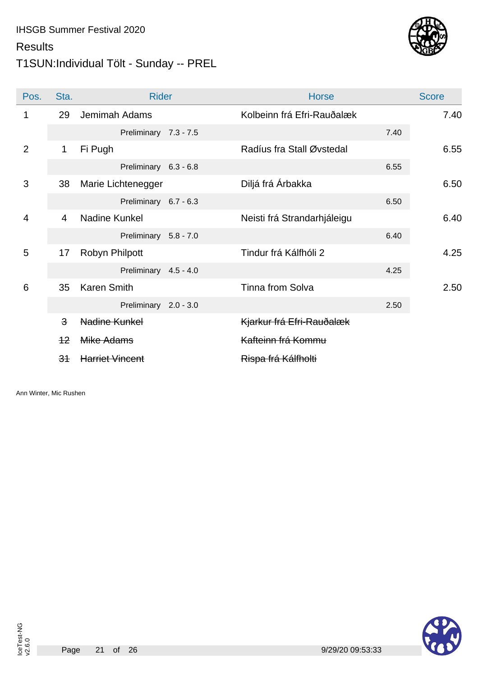#### **Results**

## T1SUN:Individual Tölt - Sunday -- PREL

![](_page_20_Picture_3.jpeg)

| Pos.           | Sta.                    | <b>Rider</b>           | <b>Horse</b>                |      | <b>Score</b> |
|----------------|-------------------------|------------------------|-----------------------------|------|--------------|
| 1              | 29                      | Jemimah Adams          | Kolbeinn frá Efri-Rauðalæk  |      | 7.40         |
|                |                         | Preliminary 7.3 - 7.5  |                             | 7.40 |              |
| $\overline{2}$ | 1                       | Fi Pugh                | Radíus fra Stall Øvstedal   |      | 6.55         |
|                |                         | Preliminary 6.3 - 6.8  |                             | 6.55 |              |
| 3              | 38                      | Marie Lichtenegger     | Diljá frá Árbakka           |      | 6.50         |
|                |                         | Preliminary 6.7 - 6.3  |                             | 6.50 |              |
| $\overline{4}$ | $\overline{4}$          | Nadine Kunkel          | Neisti frá Strandarhjáleigu |      | 6.40         |
|                |                         | Preliminary 5.8 - 7.0  |                             | 6.40 |              |
| 5              | 17                      | Robyn Philpott         | Tindur frá Kálfhóli 2       |      | 4.25         |
|                |                         | Preliminary 4.5 - 4.0  |                             | 4.25 |              |
| 6              | 35                      | <b>Karen Smith</b>     | <b>Tinna from Solva</b>     |      | 2.50         |
|                |                         | Preliminary 2.0 - 3.0  |                             | 2.50 |              |
|                | $\overline{\mathbf{3}}$ | Nadine Kunkel          | Kjarkur frá Efri-Rauðalæk   |      |              |
|                | $+2$                    | Mike Adams             | Kafteinn frá Kommu          |      |              |
|                | 34                      | <b>Harriet Vincent</b> | Rispa frá Kálfholti         |      |              |

Ann Winter, Mic Rushen

![](_page_20_Picture_6.jpeg)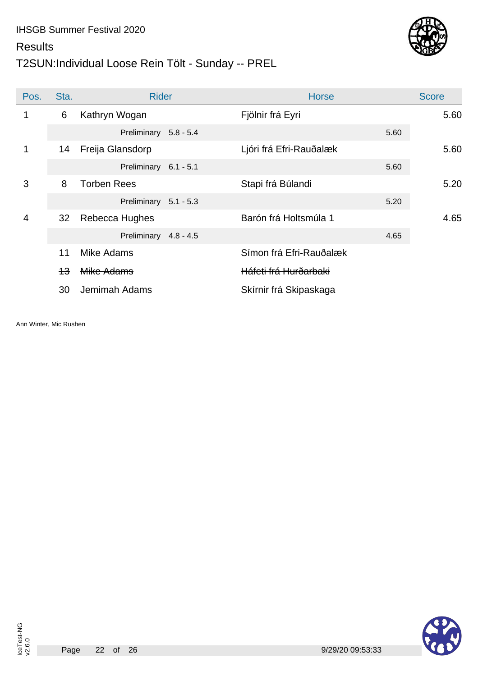## T2SUN:Individual Loose Rein Tölt - Sunday -- PREL

![](_page_21_Picture_3.jpeg)

| Pos. | Sta.         | <b>Rider</b>          | <b>Horse</b>            |      | <b>Score</b> |
|------|--------------|-----------------------|-------------------------|------|--------------|
| 1    | 6            | Kathryn Wogan         | Fjölnir frá Eyri        |      | 5.60         |
|      |              | Preliminary 5.8 - 5.4 |                         | 5.60 |              |
| 1    | 14           | Freija Glansdorp      | Ljóri frá Efri-Rauðalæk |      | 5.60         |
|      |              | Preliminary 6.1 - 5.1 |                         | 5.60 |              |
| 3    | 8            | <b>Torben Rees</b>    | Stapi frá Búlandi       |      | 5.20         |
|      |              | Preliminary 5.1 - 5.3 |                         | 5.20 |              |
| 4    | 32           | Rebecca Hughes        | Barón frá Holtsmúla 1   |      | 4.65         |
|      |              | Preliminary 4.8 - 4.5 |                         | 4.65 |              |
|      | $+4$         | Mike Adams            | Símon frá Efri-Rauðalæk |      |              |
|      | 43           | Mike Adams            | Háfeti frá Hurðarbaki   |      |              |
|      | $30^{\circ}$ | Jemimah Adams         | Skírnir frá Skipaskaga  |      |              |

Ann Winter, Mic Rushen

![](_page_21_Picture_6.jpeg)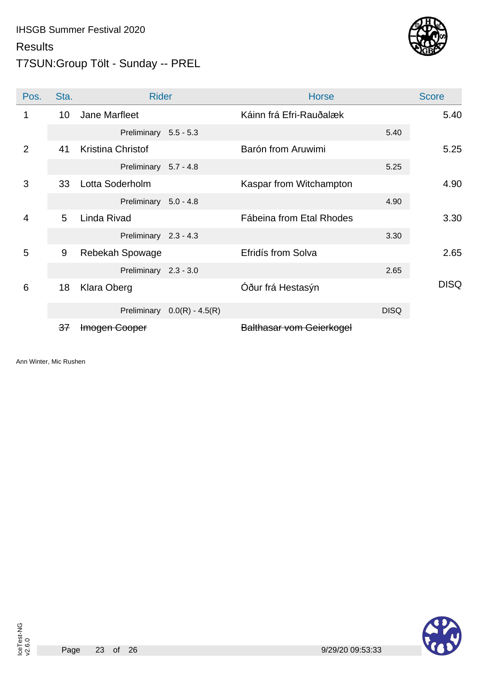### T7SUN:Group Tölt - Sunday -- PREL

![](_page_22_Picture_3.jpeg)

| Pos.           | Sta. | <b>Rider</b>             |                               | <b>Horse</b>                    |             | <b>Score</b> |
|----------------|------|--------------------------|-------------------------------|---------------------------------|-------------|--------------|
|                | 10   | Jane Marfleet            |                               | Káinn frá Efri-Rauðalæk         |             | 5.40         |
|                |      | Preliminary 5.5 - 5.3    |                               |                                 | 5.40        |              |
| $\overline{2}$ | 41   | <b>Kristina Christof</b> |                               | Barón from Aruwimi              |             | 5.25         |
|                |      | Preliminary 5.7 - 4.8    |                               |                                 | 5.25        |              |
| 3              | 33   | Lotta Soderholm          |                               | Kaspar from Witchampton         |             | 4.90         |
|                |      | Preliminary 5.0 - 4.8    |                               |                                 | 4.90        |              |
| $\overline{4}$ | 5    | Linda Rivad              |                               | Fábeina from Etal Rhodes        |             | 3.30         |
|                |      | Preliminary 2.3 - 4.3    |                               |                                 | 3.30        |              |
| 5              | 9    | Rebekah Spowage          |                               | Efridís from Solva              |             | 2.65         |
|                |      | Preliminary 2.3 - 3.0    |                               |                                 | 2.65        |              |
| 6              | 18   | Klara Oberg              |                               | Óður frá Hestasýn               |             | <b>DISQ</b>  |
|                |      |                          | Preliminary $0.0(R) - 4.5(R)$ |                                 | <b>DISQ</b> |              |
|                | 37   | Imogen Cooper            |                               | <b>Balthasar vom Geierkogel</b> |             |              |

Ann Winter, Mic Rushen

![](_page_22_Picture_6.jpeg)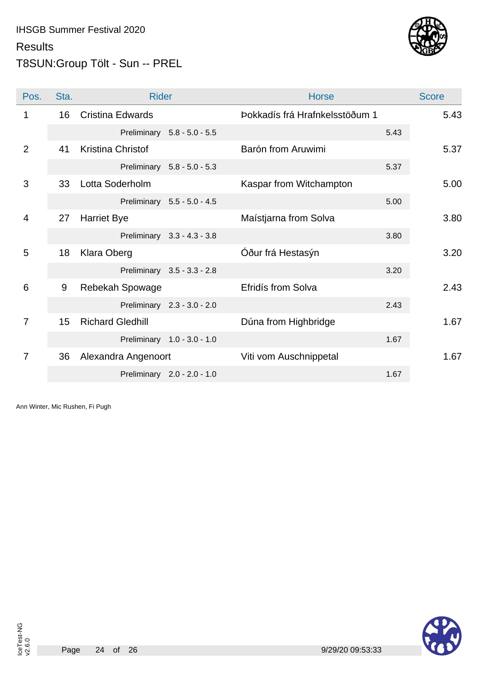![](_page_23_Picture_1.jpeg)

## T8SUN:Group Tölt - Sun -- PREL

| Pos.           | Sta. | <b>Rider</b>             |                             | <b>Horse</b>                   |      | <b>Score</b> |
|----------------|------|--------------------------|-----------------------------|--------------------------------|------|--------------|
| 1              | 16   | <b>Cristina Edwards</b>  |                             | Þokkadís frá Hrafnkelsstöðum 1 |      | 5.43         |
|                |      | Preliminary              | $5.8 - 5.0 - 5.5$           |                                | 5.43 |              |
| $\overline{2}$ | 41   | <b>Kristina Christof</b> |                             | Barón from Aruwimi             |      | 5.37         |
|                |      |                          | Preliminary 5.8 - 5.0 - 5.3 |                                | 5.37 |              |
| 3              | 33   | Lotta Soderholm          |                             | Kaspar from Witchampton        |      | 5.00         |
|                |      |                          | Preliminary 5.5 - 5.0 - 4.5 |                                | 5.00 |              |
| 4              | 27   | <b>Harriet Bye</b>       |                             | Maístjarna from Solva          |      | 3.80         |
|                |      |                          | Preliminary 3.3 - 4.3 - 3.8 |                                | 3.80 |              |
| 5              | 18   | <b>Klara Oberg</b>       |                             | Óður frá Hestasýn              |      | 3.20         |
|                |      |                          | Preliminary 3.5 - 3.3 - 2.8 |                                | 3.20 |              |
| 6              | 9    | Rebekah Spowage          |                             | Efridís from Solva             |      | 2.43         |
|                |      |                          | Preliminary 2.3 - 3.0 - 2.0 |                                | 2.43 |              |
| $\overline{7}$ | 15   | <b>Richard Gledhill</b>  |                             | Dúna from Highbridge           |      | 1.67         |
|                |      |                          | Preliminary 1.0 - 3.0 - 1.0 |                                | 1.67 |              |
| $\overline{7}$ | 36   | Alexandra Angenoort      |                             | Viti vom Auschnippetal         |      | 1.67         |
|                |      |                          | Preliminary 2.0 - 2.0 - 1.0 |                                | 1.67 |              |

Ann Winter, Mic Rushen, Fi Pugh

![](_page_23_Picture_5.jpeg)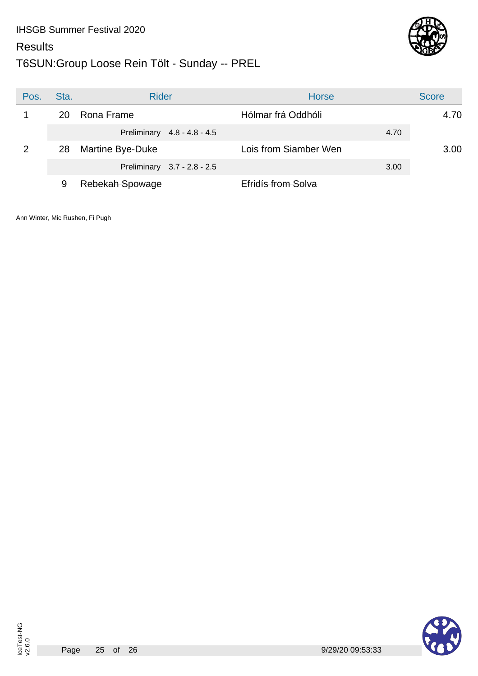![](_page_24_Picture_1.jpeg)

![](_page_24_Picture_2.jpeg)

| Pos. | Sta. | <b>Rider</b>                | <b>Horse</b>          | <b>Score</b> |
|------|------|-----------------------------|-----------------------|--------------|
|      | 20   | Rona Frame                  | Hólmar frá Oddhóli    | 4.70         |
|      |      | Preliminary 4.8 - 4.8 - 4.5 | 4.70                  |              |
| 2    | 28   | Martine Bye-Duke            | Lois from Siamber Wen | 3.00         |
|      |      | Preliminary 3.7 - 2.8 - 2.5 | 3.00                  |              |
|      | 9    | Rebekah Spowage             | Efridís from Solva    |              |

![](_page_24_Picture_8.jpeg)